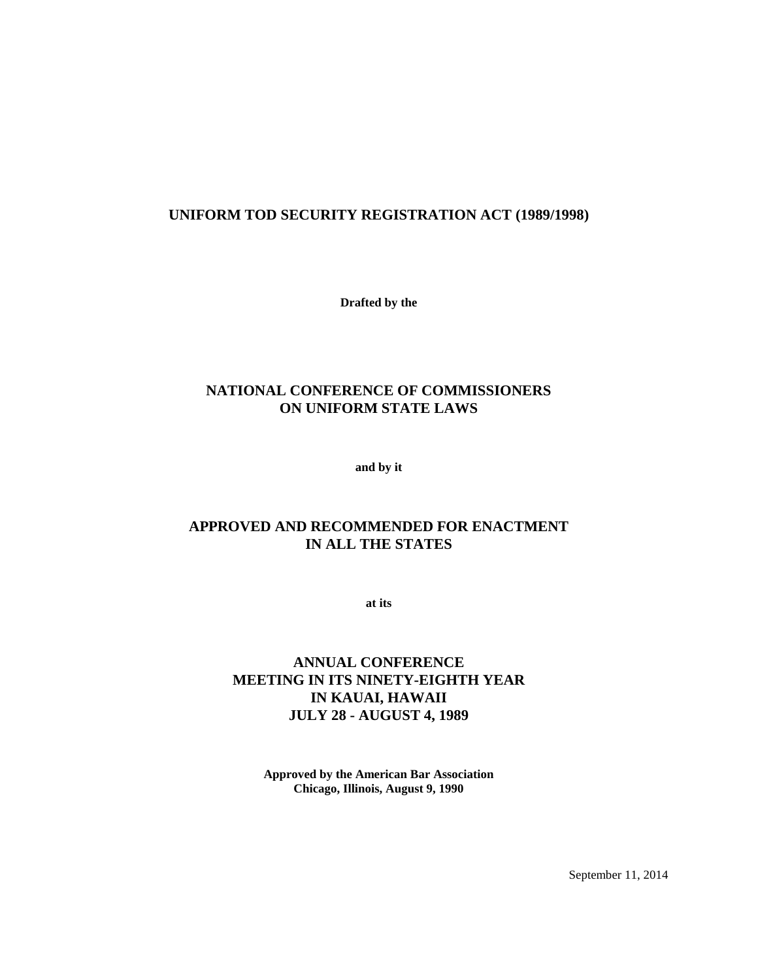**Drafted by the**

# **NATIONAL CONFERENCE OF COMMISSIONERS ON UNIFORM STATE LAWS**

**and by it**

# **APPROVED AND RECOMMENDED FOR ENACTMENT IN ALL THE STATES**

**at its**

# **ANNUAL CONFERENCE MEETING IN ITS NINETY-EIGHTH YEAR IN KAUAI, HAWAII JULY 28 - AUGUST 4, 1989**

**Approved by the American Bar Association Chicago, Illinois, August 9, 1990**

September 11, 2014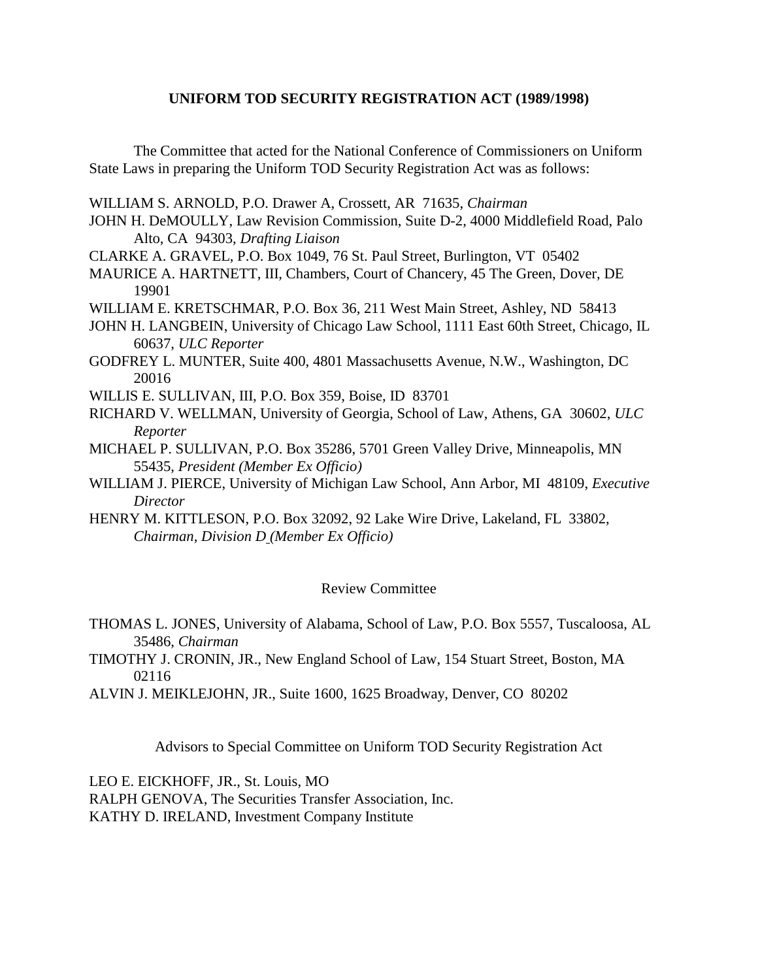The Committee that acted for the National Conference of Commissioners on Uniform State Laws in preparing the Uniform TOD Security Registration Act was as follows:

- WILLIAM S. ARNOLD, P.O. Drawer A, Crossett, AR 71635, *Chairman*
- JOHN H. DeMOULLY, Law Revision Commission, Suite D-2, 4000 Middlefield Road, Palo Alto, CA 94303, *Drafting Liaison*
- CLARKE A. GRAVEL, P.O. Box 1049, 76 St. Paul Street, Burlington, VT 05402
- MAURICE A. HARTNETT, III, Chambers, Court of Chancery, 45 The Green, Dover, DE 19901
- WILLIAM E. KRETSCHMAR, P.O. Box 36, 211 West Main Street, Ashley, ND 58413
- JOHN H. LANGBEIN, University of Chicago Law School, 1111 East 60th Street, Chicago, IL 60637, *ULC Reporter*
- GODFREY L. MUNTER, Suite 400, 4801 Massachusetts Avenue, N.W., Washington, DC 20016
- WILLIS E. SULLIVAN, III, P.O. Box 359, Boise, ID 83701
- RICHARD V. WELLMAN, University of Georgia, School of Law, Athens, GA 30602, *ULC Reporter*
- MICHAEL P. SULLIVAN, P.O. Box 35286, 5701 Green Valley Drive, Minneapolis, MN 55435, *President (Member Ex Officio)*
- WILLIAM J. PIERCE, University of Michigan Law School, Ann Arbor, MI 48109, *Executive Director*
- HENRY M. KITTLESON, P.O. Box 32092, 92 Lake Wire Drive, Lakeland, FL 33802, *Chairman, Division D (Member Ex Officio)*

### Review Committee

- THOMAS L. JONES, University of Alabama, School of Law, P.O. Box 5557, Tuscaloosa, AL 35486, *Chairman*
- TIMOTHY J. CRONIN, JR., New England School of Law, 154 Stuart Street, Boston, MA 02116
- ALVIN J. MEIKLEJOHN, JR., Suite 1600, 1625 Broadway, Denver, CO 80202

Advisors to Special Committee on Uniform TOD Security Registration Act

LEO E. EICKHOFF, JR., St. Louis, MO

RALPH GENOVA, The Securities Transfer Association, Inc. KATHY D. IRELAND, Investment Company Institute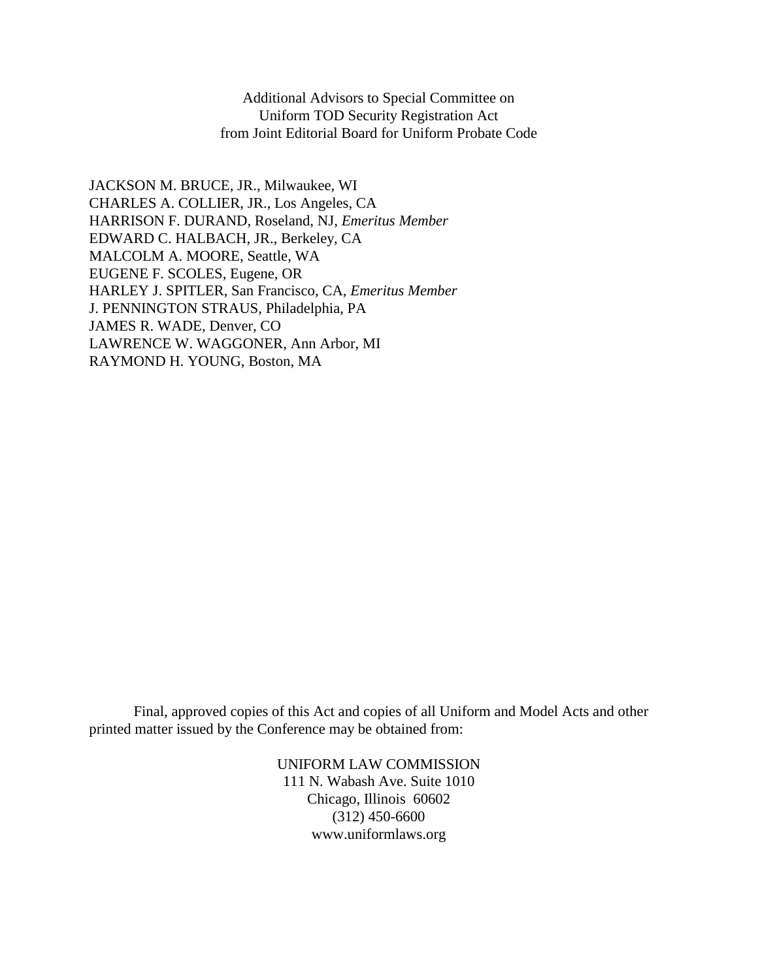Additional Advisors to Special Committee on Uniform TOD Security Registration Act from Joint Editorial Board for Uniform Probate Code

JACKSON M. BRUCE, JR., Milwaukee, WI CHARLES A. COLLIER, JR., Los Angeles, CA HARRISON F. DURAND, Roseland, NJ, *Emeritus Member* EDWARD C. HALBACH, JR., Berkeley, CA MALCOLM A. MOORE, Seattle, WA EUGENE F. SCOLES, Eugene, OR HARLEY J. SPITLER, San Francisco, CA, *Emeritus Member* J. PENNINGTON STRAUS, Philadelphia, PA JAMES R. WADE, Denver, CO LAWRENCE W. WAGGONER, Ann Arbor, MI RAYMOND H. YOUNG, Boston, MA

Final, approved copies of this Act and copies of all Uniform and Model Acts and other printed matter issued by the Conference may be obtained from:

> UNIFORM LAW COMMISSION 111 N. Wabash Ave. Suite 1010 Chicago, Illinois 60602 (312) 450-6600 www.uniformlaws.org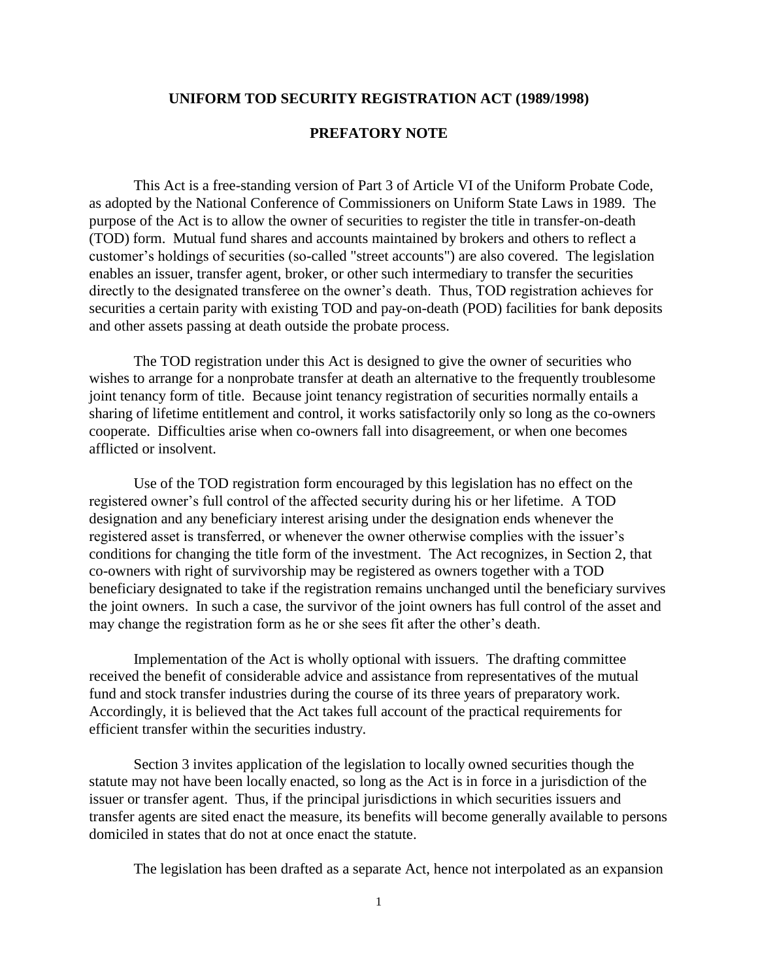### **PREFATORY NOTE**

This Act is a free-standing version of Part 3 of Article VI of the Uniform Probate Code, as adopted by the National Conference of Commissioners on Uniform State Laws in 1989. The purpose of the Act is to allow the owner of securities to register the title in transfer-on-death (TOD) form. Mutual fund shares and accounts maintained by brokers and others to reflect a customer's holdings of securities (so-called "street accounts") are also covered. The legislation enables an issuer, transfer agent, broker, or other such intermediary to transfer the securities directly to the designated transferee on the owner's death. Thus, TOD registration achieves for securities a certain parity with existing TOD and pay-on-death (POD) facilities for bank deposits and other assets passing at death outside the probate process.

The TOD registration under this Act is designed to give the owner of securities who wishes to arrange for a nonprobate transfer at death an alternative to the frequently troublesome joint tenancy form of title. Because joint tenancy registration of securities normally entails a sharing of lifetime entitlement and control, it works satisfactorily only so long as the co-owners cooperate. Difficulties arise when co-owners fall into disagreement, or when one becomes afflicted or insolvent.

Use of the TOD registration form encouraged by this legislation has no effect on the registered owner's full control of the affected security during his or her lifetime. A TOD designation and any beneficiary interest arising under the designation ends whenever the registered asset is transferred, or whenever the owner otherwise complies with the issuer's conditions for changing the title form of the investment. The Act recognizes, in Section 2, that co-owners with right of survivorship may be registered as owners together with a TOD beneficiary designated to take if the registration remains unchanged until the beneficiary survives the joint owners. In such a case, the survivor of the joint owners has full control of the asset and may change the registration form as he or she sees fit after the other's death.

Implementation of the Act is wholly optional with issuers. The drafting committee received the benefit of considerable advice and assistance from representatives of the mutual fund and stock transfer industries during the course of its three years of preparatory work. Accordingly, it is believed that the Act takes full account of the practical requirements for efficient transfer within the securities industry.

Section 3 invites application of the legislation to locally owned securities though the statute may not have been locally enacted, so long as the Act is in force in a jurisdiction of the issuer or transfer agent. Thus, if the principal jurisdictions in which securities issuers and transfer agents are sited enact the measure, its benefits will become generally available to persons domiciled in states that do not at once enact the statute.

The legislation has been drafted as a separate Act, hence not interpolated as an expansion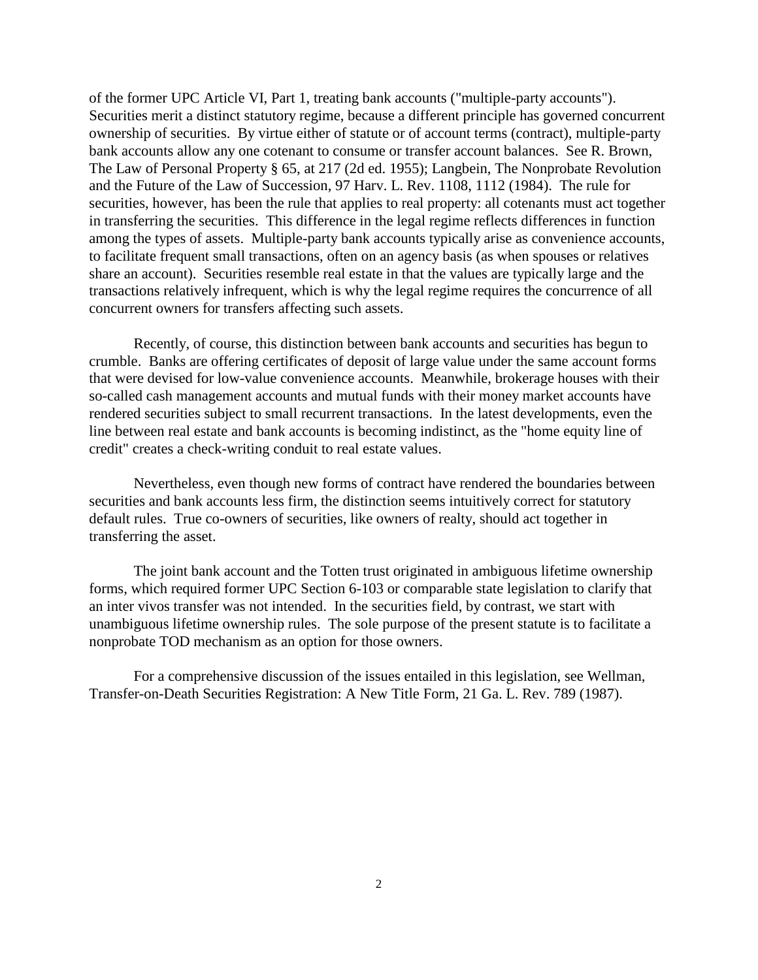of the former UPC Article VI, Part 1, treating bank accounts ("multiple-party accounts"). Securities merit a distinct statutory regime, because a different principle has governed concurrent ownership of securities. By virtue either of statute or of account terms (contract), multiple-party bank accounts allow any one cotenant to consume or transfer account balances. See R. Brown, The Law of Personal Property § 65, at 217 (2d ed. 1955); Langbein, The Nonprobate Revolution and the Future of the Law of Succession, 97 Harv. L. Rev. 1108, 1112 (1984). The rule for securities, however, has been the rule that applies to real property: all cotenants must act together in transferring the securities. This difference in the legal regime reflects differences in function among the types of assets. Multiple-party bank accounts typically arise as convenience accounts, to facilitate frequent small transactions, often on an agency basis (as when spouses or relatives share an account). Securities resemble real estate in that the values are typically large and the transactions relatively infrequent, which is why the legal regime requires the concurrence of all concurrent owners for transfers affecting such assets.

Recently, of course, this distinction between bank accounts and securities has begun to crumble. Banks are offering certificates of deposit of large value under the same account forms that were devised for low-value convenience accounts. Meanwhile, brokerage houses with their so-called cash management accounts and mutual funds with their money market accounts have rendered securities subject to small recurrent transactions. In the latest developments, even the line between real estate and bank accounts is becoming indistinct, as the "home equity line of credit" creates a check-writing conduit to real estate values.

Nevertheless, even though new forms of contract have rendered the boundaries between securities and bank accounts less firm, the distinction seems intuitively correct for statutory default rules. True co-owners of securities, like owners of realty, should act together in transferring the asset.

The joint bank account and the Totten trust originated in ambiguous lifetime ownership forms, which required former UPC Section 6-103 or comparable state legislation to clarify that an inter vivos transfer was not intended. In the securities field, by contrast, we start with unambiguous lifetime ownership rules. The sole purpose of the present statute is to facilitate a nonprobate TOD mechanism as an option for those owners.

For a comprehensive discussion of the issues entailed in this legislation, see Wellman, Transfer-on-Death Securities Registration: A New Title Form, 21 Ga. L. Rev. 789 (1987).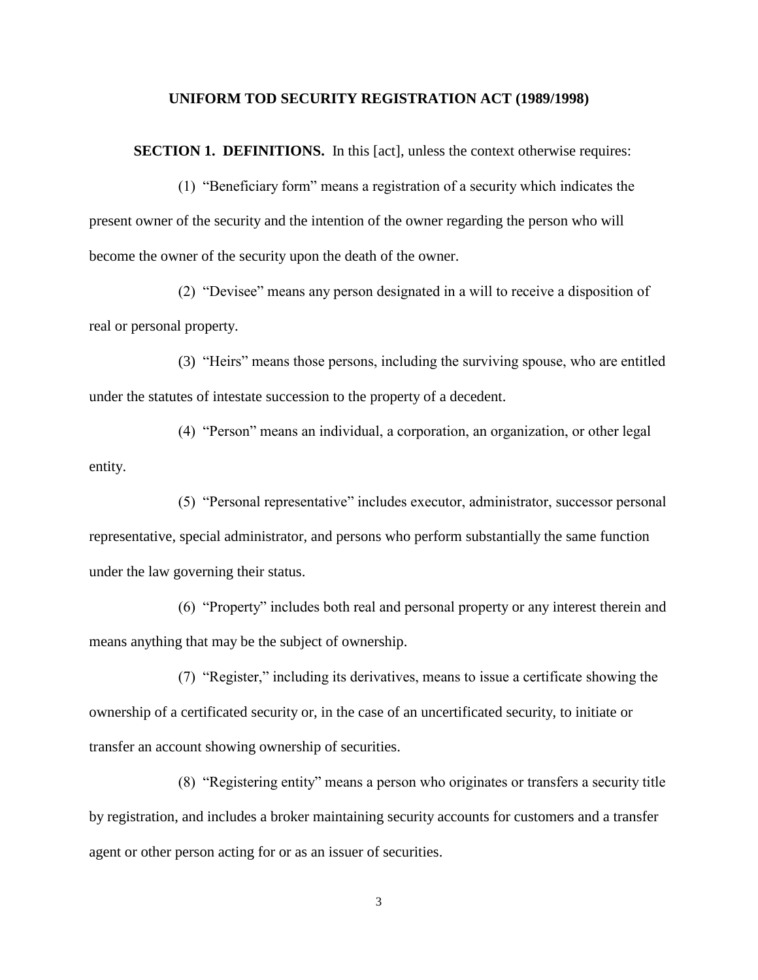**SECTION 1. DEFINITIONS.** In this [act], unless the context otherwise requires:

(1) "Beneficiary form" means a registration of a security which indicates the present owner of the security and the intention of the owner regarding the person who will become the owner of the security upon the death of the owner.

(2) "Devisee" means any person designated in a will to receive a disposition of real or personal property.

(3) "Heirs" means those persons, including the surviving spouse, who are entitled under the statutes of intestate succession to the property of a decedent.

(4) "Person" means an individual, a corporation, an organization, or other legal entity.

(5) "Personal representative" includes executor, administrator, successor personal representative, special administrator, and persons who perform substantially the same function under the law governing their status.

(6) "Property" includes both real and personal property or any interest therein and means anything that may be the subject of ownership.

(7) "Register," including its derivatives, means to issue a certificate showing the ownership of a certificated security or, in the case of an uncertificated security, to initiate or transfer an account showing ownership of securities.

(8) "Registering entity" means a person who originates or transfers a security title by registration, and includes a broker maintaining security accounts for customers and a transfer agent or other person acting for or as an issuer of securities.

3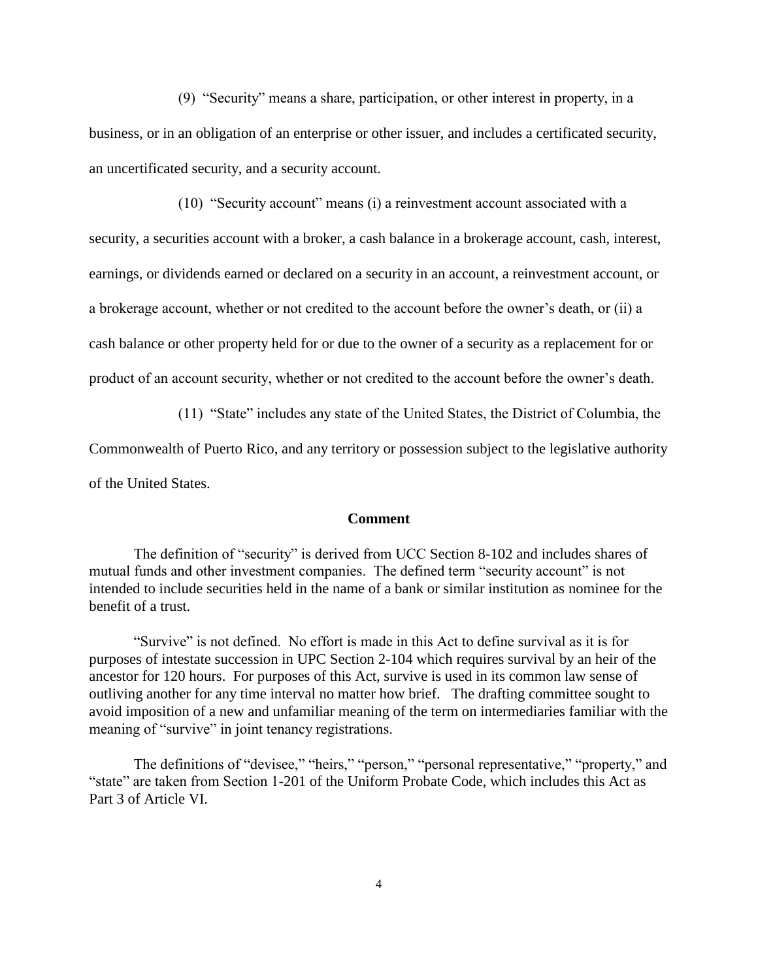(9) "Security" means a share, participation, or other interest in property, in a business, or in an obligation of an enterprise or other issuer, and includes a certificated security, an uncertificated security, and a security account.

(10) "Security account" means (i) a reinvestment account associated with a security, a securities account with a broker, a cash balance in a brokerage account, cash, interest, earnings, or dividends earned or declared on a security in an account, a reinvestment account, or a brokerage account, whether or not credited to the account before the owner's death, or (ii) a cash balance or other property held for or due to the owner of a security as a replacement for or product of an account security, whether or not credited to the account before the owner's death.

(11) "State" includes any state of the United States, the District of Columbia, the

Commonwealth of Puerto Rico, and any territory or possession subject to the legislative authority of the United States.

#### **Comment**

The definition of "security" is derived from UCC Section 8-102 and includes shares of mutual funds and other investment companies. The defined term "security account" is not intended to include securities held in the name of a bank or similar institution as nominee for the benefit of a trust.

"Survive" is not defined. No effort is made in this Act to define survival as it is for purposes of intestate succession in UPC Section 2-104 which requires survival by an heir of the ancestor for 120 hours. For purposes of this Act, survive is used in its common law sense of outliving another for any time interval no matter how brief. The drafting committee sought to avoid imposition of a new and unfamiliar meaning of the term on intermediaries familiar with the meaning of "survive" in joint tenancy registrations.

The definitions of "devisee," "heirs," "person," "personal representative," "property," and "state" are taken from Section 1-201 of the Uniform Probate Code, which includes this Act as Part 3 of Article VI.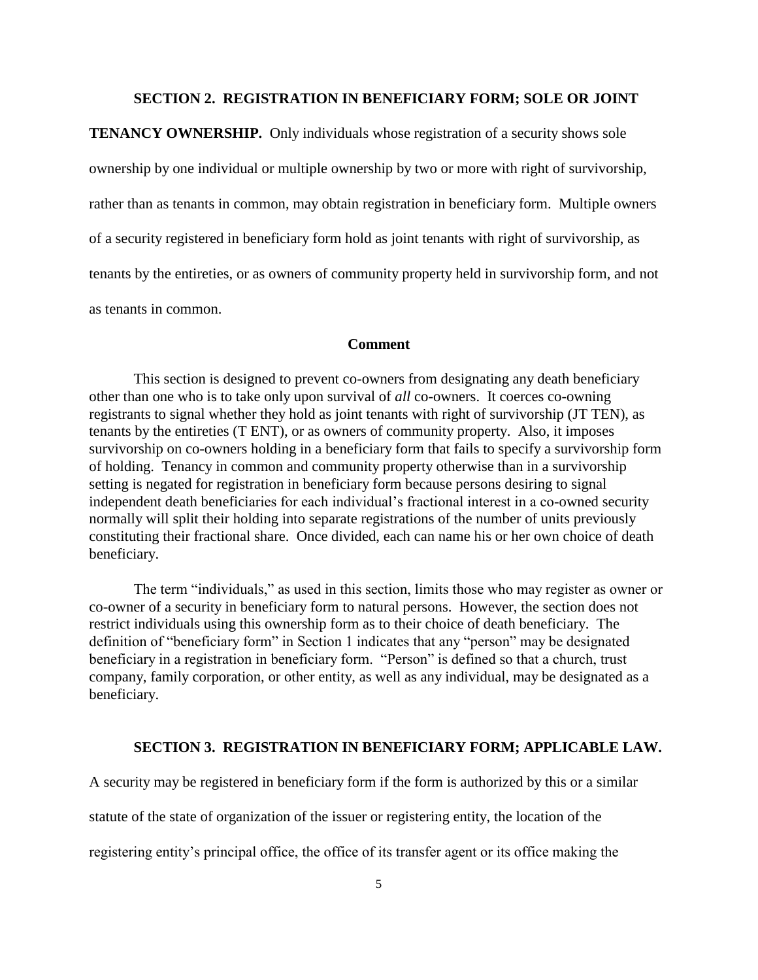### **SECTION 2. REGISTRATION IN BENEFICIARY FORM; SOLE OR JOINT**

**TENANCY OWNERSHIP.** Only individuals whose registration of a security shows sole

ownership by one individual or multiple ownership by two or more with right of survivorship,

rather than as tenants in common, may obtain registration in beneficiary form. Multiple owners

of a security registered in beneficiary form hold as joint tenants with right of survivorship, as

tenants by the entireties, or as owners of community property held in survivorship form, and not

as tenants in common.

### **Comment**

This section is designed to prevent co-owners from designating any death beneficiary other than one who is to take only upon survival of *all* co-owners. It coerces co-owning registrants to signal whether they hold as joint tenants with right of survivorship (JT TEN), as tenants by the entireties (T ENT), or as owners of community property. Also, it imposes survivorship on co-owners holding in a beneficiary form that fails to specify a survivorship form of holding. Tenancy in common and community property otherwise than in a survivorship setting is negated for registration in beneficiary form because persons desiring to signal independent death beneficiaries for each individual's fractional interest in a co-owned security normally will split their holding into separate registrations of the number of units previously constituting their fractional share. Once divided, each can name his or her own choice of death beneficiary.

The term "individuals," as used in this section, limits those who may register as owner or co-owner of a security in beneficiary form to natural persons. However, the section does not restrict individuals using this ownership form as to their choice of death beneficiary. The definition of "beneficiary form" in Section 1 indicates that any "person" may be designated beneficiary in a registration in beneficiary form. "Person" is defined so that a church, trust company, family corporation, or other entity, as well as any individual, may be designated as a beneficiary.

#### **SECTION 3. REGISTRATION IN BENEFICIARY FORM; APPLICABLE LAW.**

A security may be registered in beneficiary form if the form is authorized by this or a similar

statute of the state of organization of the issuer or registering entity, the location of the

registering entity's principal office, the office of its transfer agent or its office making the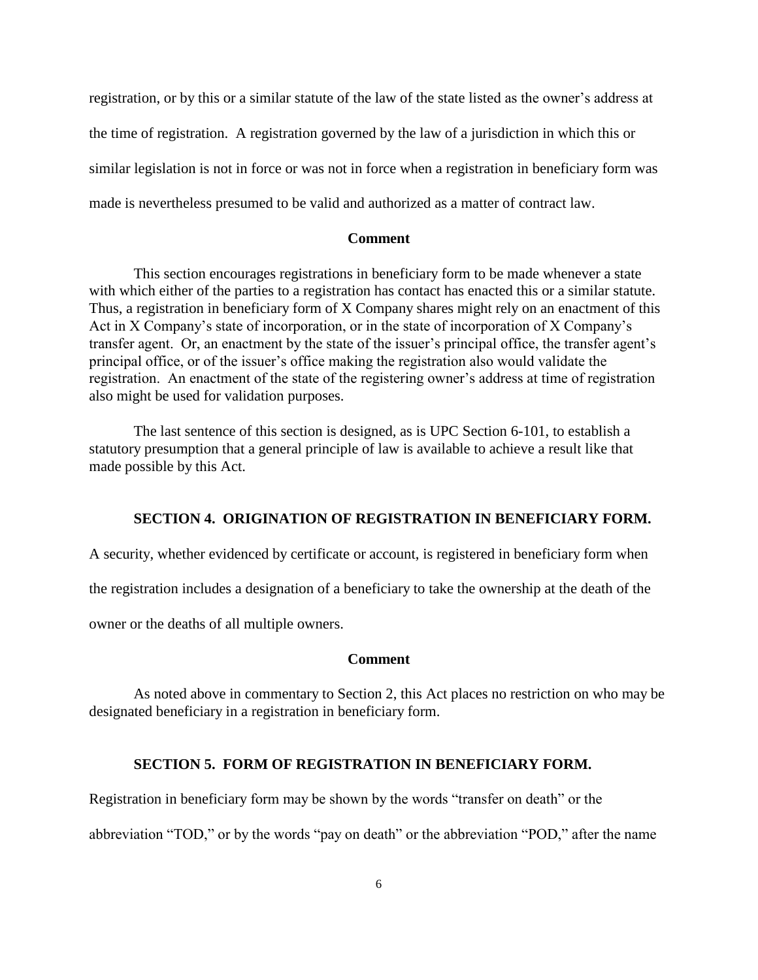registration, or by this or a similar statute of the law of the state listed as the owner's address at the time of registration. A registration governed by the law of a jurisdiction in which this or similar legislation is not in force or was not in force when a registration in beneficiary form was made is nevertheless presumed to be valid and authorized as a matter of contract law.

### **Comment**

This section encourages registrations in beneficiary form to be made whenever a state with which either of the parties to a registration has contact has enacted this or a similar statute. Thus, a registration in beneficiary form of X Company shares might rely on an enactment of this Act in X Company's state of incorporation, or in the state of incorporation of X Company's transfer agent. Or, an enactment by the state of the issuer's principal office, the transfer agent's principal office, or of the issuer's office making the registration also would validate the registration. An enactment of the state of the registering owner's address at time of registration also might be used for validation purposes.

The last sentence of this section is designed, as is UPC Section 6-101, to establish a statutory presumption that a general principle of law is available to achieve a result like that made possible by this Act.

## **SECTION 4. ORIGINATION OF REGISTRATION IN BENEFICIARY FORM.**

A security, whether evidenced by certificate or account, is registered in beneficiary form when

the registration includes a designation of a beneficiary to take the ownership at the death of the

owner or the deaths of all multiple owners.

## **Comment**

As noted above in commentary to Section 2, this Act places no restriction on who may be designated beneficiary in a registration in beneficiary form.

## **SECTION 5. FORM OF REGISTRATION IN BENEFICIARY FORM.**

Registration in beneficiary form may be shown by the words "transfer on death" or the

abbreviation "TOD," or by the words "pay on death" or the abbreviation "POD," after the name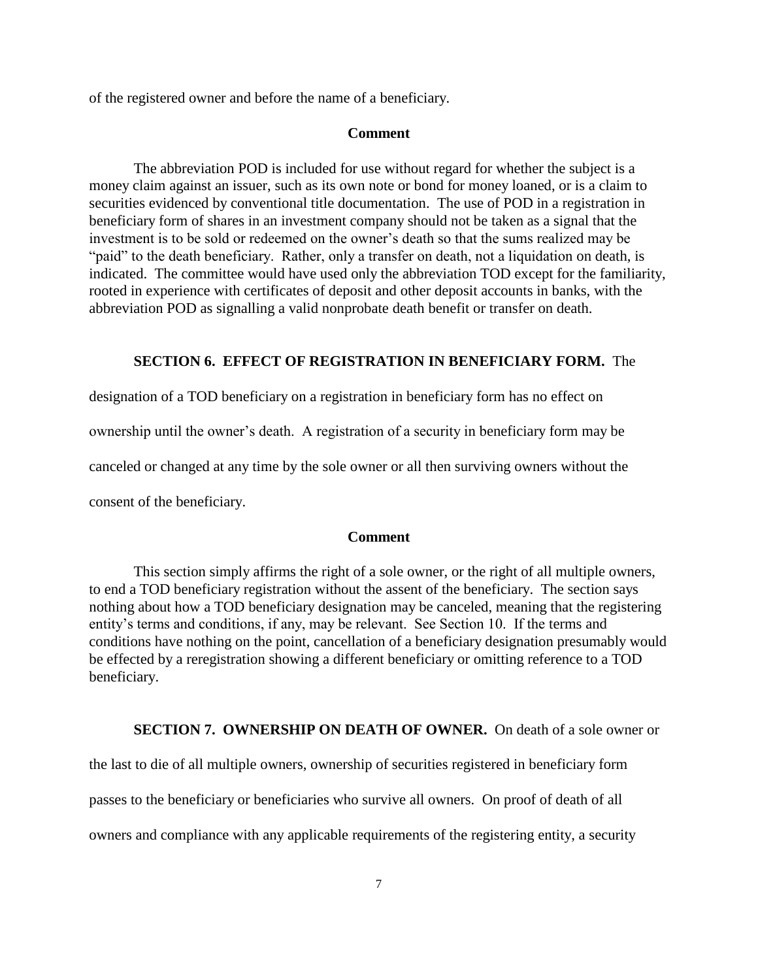of the registered owner and before the name of a beneficiary.

#### **Comment**

The abbreviation POD is included for use without regard for whether the subject is a money claim against an issuer, such as its own note or bond for money loaned, or is a claim to securities evidenced by conventional title documentation. The use of POD in a registration in beneficiary form of shares in an investment company should not be taken as a signal that the investment is to be sold or redeemed on the owner's death so that the sums realized may be "paid" to the death beneficiary. Rather, only a transfer on death, not a liquidation on death, is indicated. The committee would have used only the abbreviation TOD except for the familiarity, rooted in experience with certificates of deposit and other deposit accounts in banks, with the abbreviation POD as signalling a valid nonprobate death benefit or transfer on death.

## **SECTION 6. EFFECT OF REGISTRATION IN BENEFICIARY FORM.** The

designation of a TOD beneficiary on a registration in beneficiary form has no effect on ownership until the owner's death. A registration of a security in beneficiary form may be canceled or changed at any time by the sole owner or all then surviving owners without the consent of the beneficiary.

## **Comment**

This section simply affirms the right of a sole owner, or the right of all multiple owners, to end a TOD beneficiary registration without the assent of the beneficiary. The section says nothing about how a TOD beneficiary designation may be canceled, meaning that the registering entity's terms and conditions, if any, may be relevant. See Section 10. If the terms and conditions have nothing on the point, cancellation of a beneficiary designation presumably would be effected by a reregistration showing a different beneficiary or omitting reference to a TOD beneficiary.

**SECTION 7. OWNERSHIP ON DEATH OF OWNER.** On death of a sole owner or

the last to die of all multiple owners, ownership of securities registered in beneficiary form passes to the beneficiary or beneficiaries who survive all owners. On proof of death of all owners and compliance with any applicable requirements of the registering entity, a security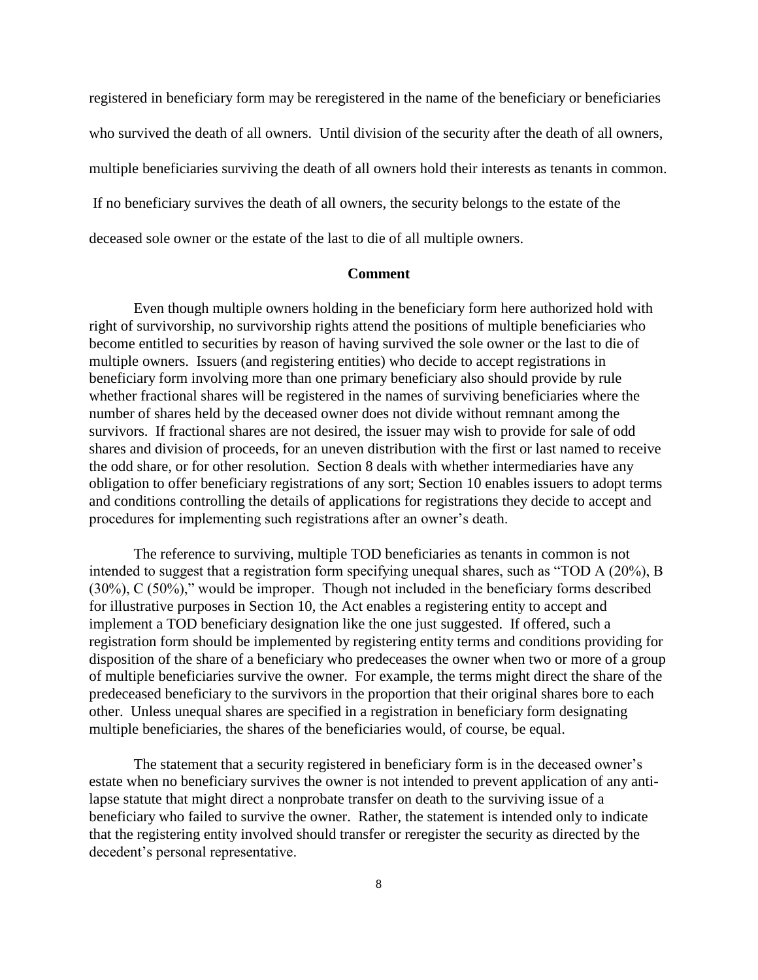registered in beneficiary form may be reregistered in the name of the beneficiary or beneficiaries who survived the death of all owners. Until division of the security after the death of all owners, multiple beneficiaries surviving the death of all owners hold their interests as tenants in common. If no beneficiary survives the death of all owners, the security belongs to the estate of the deceased sole owner or the estate of the last to die of all multiple owners.

#### **Comment**

Even though multiple owners holding in the beneficiary form here authorized hold with right of survivorship, no survivorship rights attend the positions of multiple beneficiaries who become entitled to securities by reason of having survived the sole owner or the last to die of multiple owners. Issuers (and registering entities) who decide to accept registrations in beneficiary form involving more than one primary beneficiary also should provide by rule whether fractional shares will be registered in the names of surviving beneficiaries where the number of shares held by the deceased owner does not divide without remnant among the survivors. If fractional shares are not desired, the issuer may wish to provide for sale of odd shares and division of proceeds, for an uneven distribution with the first or last named to receive the odd share, or for other resolution. Section 8 deals with whether intermediaries have any obligation to offer beneficiary registrations of any sort; Section 10 enables issuers to adopt terms and conditions controlling the details of applications for registrations they decide to accept and procedures for implementing such registrations after an owner's death.

The reference to surviving, multiple TOD beneficiaries as tenants in common is not intended to suggest that a registration form specifying unequal shares, such as "TOD A (20%), B (30%), C (50%)," would be improper. Though not included in the beneficiary forms described for illustrative purposes in Section 10, the Act enables a registering entity to accept and implement a TOD beneficiary designation like the one just suggested. If offered, such a registration form should be implemented by registering entity terms and conditions providing for disposition of the share of a beneficiary who predeceases the owner when two or more of a group of multiple beneficiaries survive the owner. For example, the terms might direct the share of the predeceased beneficiary to the survivors in the proportion that their original shares bore to each other. Unless unequal shares are specified in a registration in beneficiary form designating multiple beneficiaries, the shares of the beneficiaries would, of course, be equal.

The statement that a security registered in beneficiary form is in the deceased owner's estate when no beneficiary survives the owner is not intended to prevent application of any antilapse statute that might direct a nonprobate transfer on death to the surviving issue of a beneficiary who failed to survive the owner. Rather, the statement is intended only to indicate that the registering entity involved should transfer or reregister the security as directed by the decedent's personal representative.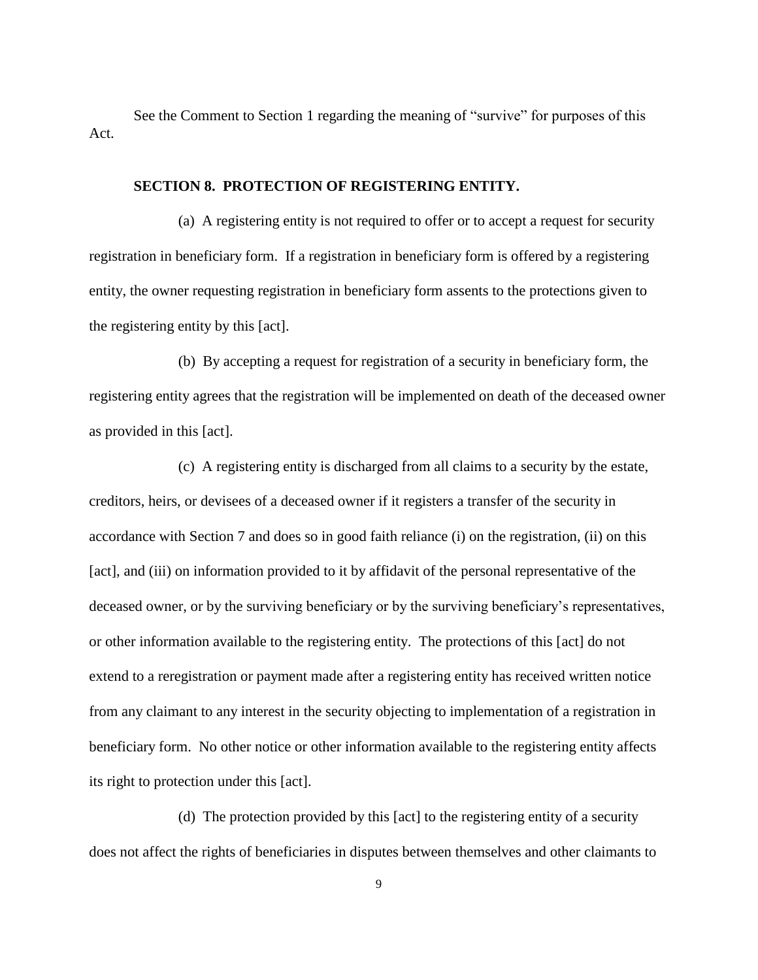See the Comment to Section 1 regarding the meaning of "survive" for purposes of this Act.

## **SECTION 8. PROTECTION OF REGISTERING ENTITY.**

(a) A registering entity is not required to offer or to accept a request for security registration in beneficiary form. If a registration in beneficiary form is offered by a registering entity, the owner requesting registration in beneficiary form assents to the protections given to the registering entity by this [act].

(b) By accepting a request for registration of a security in beneficiary form, the registering entity agrees that the registration will be implemented on death of the deceased owner as provided in this [act].

(c) A registering entity is discharged from all claims to a security by the estate, creditors, heirs, or devisees of a deceased owner if it registers a transfer of the security in accordance with Section 7 and does so in good faith reliance (i) on the registration, (ii) on this [act], and (iii) on information provided to it by affidavit of the personal representative of the deceased owner, or by the surviving beneficiary or by the surviving beneficiary's representatives, or other information available to the registering entity. The protections of this [act] do not extend to a reregistration or payment made after a registering entity has received written notice from any claimant to any interest in the security objecting to implementation of a registration in beneficiary form. No other notice or other information available to the registering entity affects its right to protection under this [act].

(d) The protection provided by this [act] to the registering entity of a security does not affect the rights of beneficiaries in disputes between themselves and other claimants to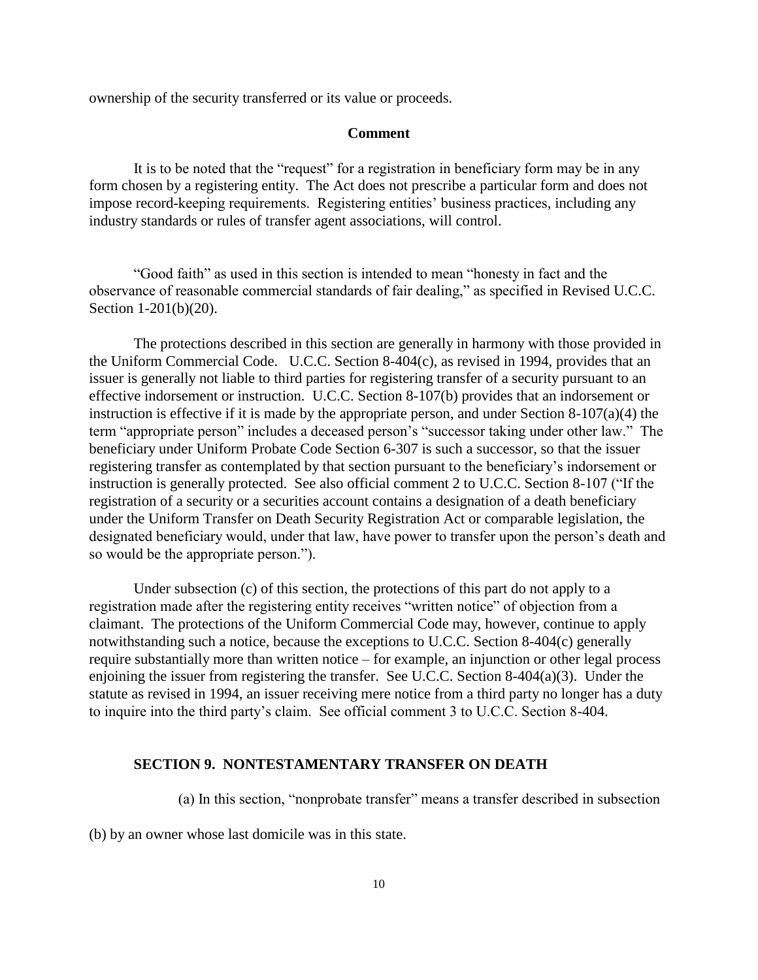ownership of the security transferred or its value or proceeds.

### **Comment**

It is to be noted that the "request" for a registration in beneficiary form may be in any form chosen by a registering entity. The Act does not prescribe a particular form and does not impose record-keeping requirements. Registering entities' business practices, including any industry standards or rules of transfer agent associations, will control.

"Good faith" as used in this section is intended to mean "honesty in fact and the observance of reasonable commercial standards of fair dealing," as specified in Revised U.C.C. Section 1-201(b)(20).

The protections described in this section are generally in harmony with those provided in the Uniform Commercial Code. U.C.C. Section 8-404(c), as revised in 1994, provides that an issuer is generally not liable to third parties for registering transfer of a security pursuant to an effective indorsement or instruction. U.C.C. Section 8-107(b) provides that an indorsement or instruction is effective if it is made by the appropriate person, and under Section  $8-107(a)(4)$  the term "appropriate person" includes a deceased person's "successor taking under other law." The beneficiary under Uniform Probate Code Section 6-307 is such a successor, so that the issuer registering transfer as contemplated by that section pursuant to the beneficiary's indorsement or instruction is generally protected. See also official comment 2 to U.C.C. Section 8-107 ("If the registration of a security or a securities account contains a designation of a death beneficiary under the Uniform Transfer on Death Security Registration Act or comparable legislation, the designated beneficiary would, under that law, have power to transfer upon the person's death and so would be the appropriate person.").

Under subsection (c) of this section, the protections of this part do not apply to a registration made after the registering entity receives "written notice" of objection from a claimant. The protections of the Uniform Commercial Code may, however, continue to apply notwithstanding such a notice, because the exceptions to U.C.C. Section 8-404(c) generally require substantially more than written notice – for example, an injunction or other legal process enjoining the issuer from registering the transfer. See U.C.C. Section 8-404(a)(3). Under the statute as revised in 1994, an issuer receiving mere notice from a third party no longer has a duty to inquire into the third party's claim. See official comment 3 to U.C.C. Section 8-404.

## **SECTION 9. NONTESTAMENTARY TRANSFER ON DEATH**

(a) In this section, "nonprobate transfer" means a transfer described in subsection

(b) by an owner whose last domicile was in this state.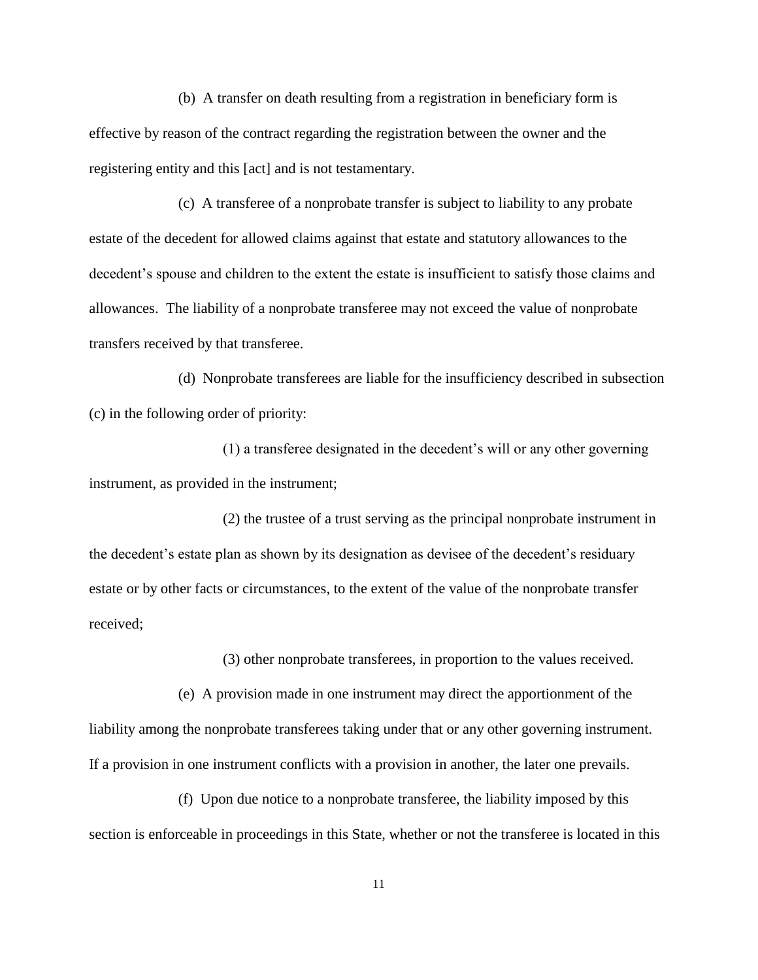(b) A transfer on death resulting from a registration in beneficiary form is effective by reason of the contract regarding the registration between the owner and the registering entity and this [act] and is not testamentary.

(c) A transferee of a nonprobate transfer is subject to liability to any probate estate of the decedent for allowed claims against that estate and statutory allowances to the decedent's spouse and children to the extent the estate is insufficient to satisfy those claims and allowances. The liability of a nonprobate transferee may not exceed the value of nonprobate transfers received by that transferee.

(d) Nonprobate transferees are liable for the insufficiency described in subsection (c) in the following order of priority:

(1) a transferee designated in the decedent's will or any other governing instrument, as provided in the instrument;

(2) the trustee of a trust serving as the principal nonprobate instrument in the decedent's estate plan as shown by its designation as devisee of the decedent's residuary estate or by other facts or circumstances, to the extent of the value of the nonprobate transfer received;

(3) other nonprobate transferees, in proportion to the values received.

(e) A provision made in one instrument may direct the apportionment of the liability among the nonprobate transferees taking under that or any other governing instrument. If a provision in one instrument conflicts with a provision in another, the later one prevails.

(f) Upon due notice to a nonprobate transferee, the liability imposed by this section is enforceable in proceedings in this State, whether or not the transferee is located in this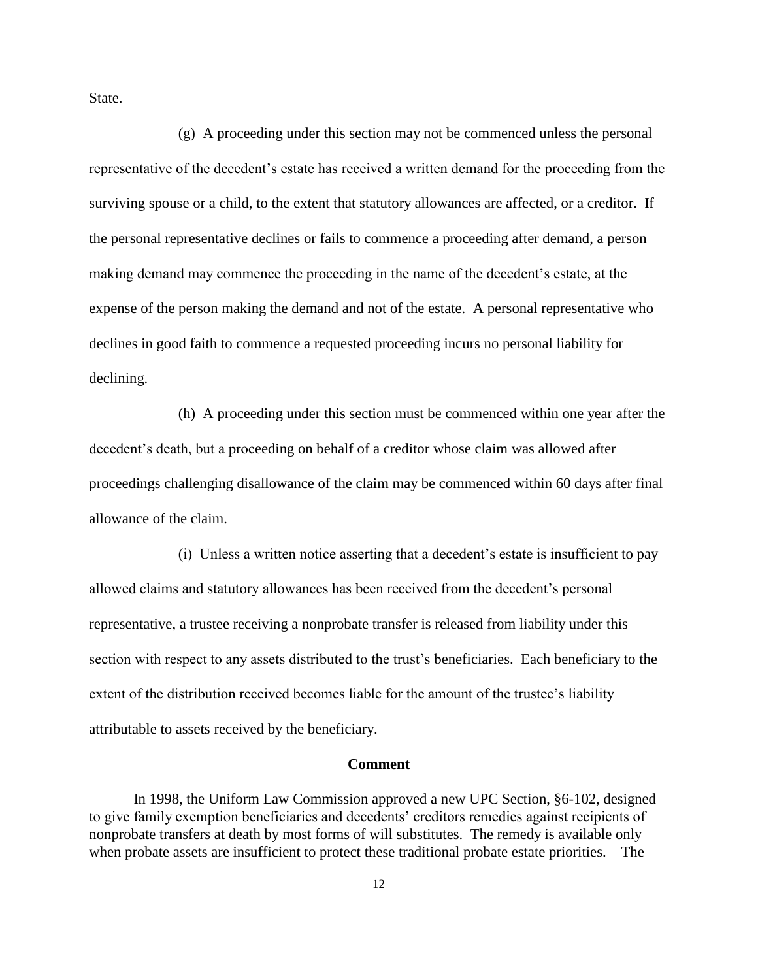State.

(g) A proceeding under this section may not be commenced unless the personal representative of the decedent's estate has received a written demand for the proceeding from the surviving spouse or a child, to the extent that statutory allowances are affected, or a creditor. If the personal representative declines or fails to commence a proceeding after demand, a person making demand may commence the proceeding in the name of the decedent's estate, at the expense of the person making the demand and not of the estate. A personal representative who declines in good faith to commence a requested proceeding incurs no personal liability for declining.

(h) A proceeding under this section must be commenced within one year after the decedent's death, but a proceeding on behalf of a creditor whose claim was allowed after proceedings challenging disallowance of the claim may be commenced within 60 days after final allowance of the claim.

(i) Unless a written notice asserting that a decedent's estate is insufficient to pay allowed claims and statutory allowances has been received from the decedent's personal representative, a trustee receiving a nonprobate transfer is released from liability under this section with respect to any assets distributed to the trust's beneficiaries. Each beneficiary to the extent of the distribution received becomes liable for the amount of the trustee's liability attributable to assets received by the beneficiary.

### **Comment**

In 1998, the Uniform Law Commission approved a new UPC Section, §6-102, designed to give family exemption beneficiaries and decedents' creditors remedies against recipients of nonprobate transfers at death by most forms of will substitutes. The remedy is available only when probate assets are insufficient to protect these traditional probate estate priorities. The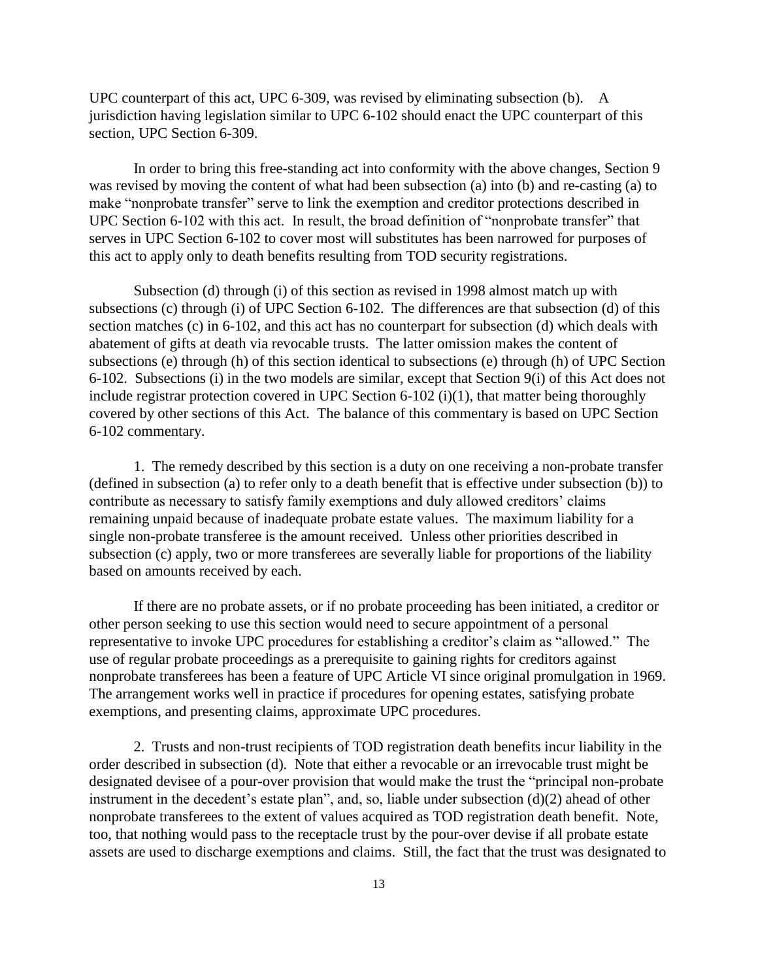UPC counterpart of this act, UPC 6-309, was revised by eliminating subsection (b). A jurisdiction having legislation similar to UPC 6-102 should enact the UPC counterpart of this section, UPC Section 6-309.

In order to bring this free-standing act into conformity with the above changes, Section 9 was revised by moving the content of what had been subsection (a) into (b) and re-casting (a) to make "nonprobate transfer" serve to link the exemption and creditor protections described in UPC Section 6-102 with this act. In result, the broad definition of "nonprobate transfer" that serves in UPC Section 6-102 to cover most will substitutes has been narrowed for purposes of this act to apply only to death benefits resulting from TOD security registrations.

Subsection (d) through (i) of this section as revised in 1998 almost match up with subsections (c) through (i) of UPC Section 6-102. The differences are that subsection (d) of this section matches (c) in 6-102, and this act has no counterpart for subsection (d) which deals with abatement of gifts at death via revocable trusts. The latter omission makes the content of subsections (e) through (h) of this section identical to subsections (e) through (h) of UPC Section 6-102. Subsections (i) in the two models are similar, except that Section 9(i) of this Act does not include registrar protection covered in UPC Section 6-102 (i)(1), that matter being thoroughly covered by other sections of this Act. The balance of this commentary is based on UPC Section 6-102 commentary.

1. The remedy described by this section is a duty on one receiving a non-probate transfer (defined in subsection (a) to refer only to a death benefit that is effective under subsection (b)) to contribute as necessary to satisfy family exemptions and duly allowed creditors' claims remaining unpaid because of inadequate probate estate values. The maximum liability for a single non-probate transferee is the amount received. Unless other priorities described in subsection (c) apply, two or more transferees are severally liable for proportions of the liability based on amounts received by each.

If there are no probate assets, or if no probate proceeding has been initiated, a creditor or other person seeking to use this section would need to secure appointment of a personal representative to invoke UPC procedures for establishing a creditor's claim as "allowed." The use of regular probate proceedings as a prerequisite to gaining rights for creditors against nonprobate transferees has been a feature of UPC Article VI since original promulgation in 1969. The arrangement works well in practice if procedures for opening estates, satisfying probate exemptions, and presenting claims, approximate UPC procedures.

2. Trusts and non-trust recipients of TOD registration death benefits incur liability in the order described in subsection (d). Note that either a revocable or an irrevocable trust might be designated devisee of a pour-over provision that would make the trust the "principal non-probate instrument in the decedent's estate plan", and, so, liable under subsection (d)(2) ahead of other nonprobate transferees to the extent of values acquired as TOD registration death benefit. Note, too, that nothing would pass to the receptacle trust by the pour-over devise if all probate estate assets are used to discharge exemptions and claims. Still, the fact that the trust was designated to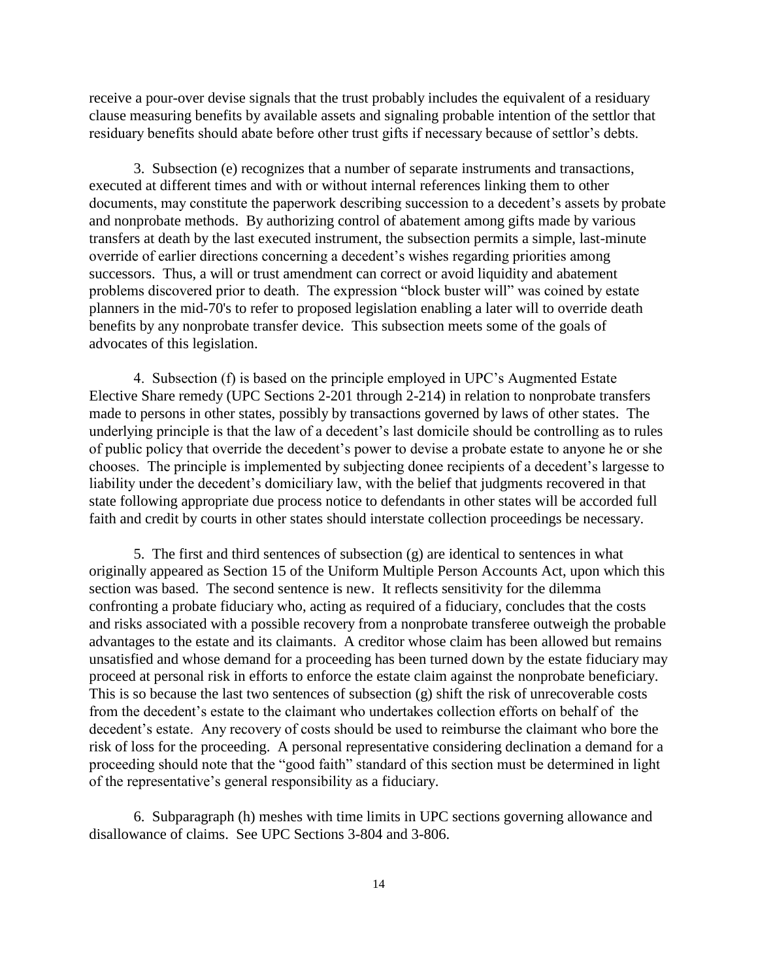receive a pour-over devise signals that the trust probably includes the equivalent of a residuary clause measuring benefits by available assets and signaling probable intention of the settlor that residuary benefits should abate before other trust gifts if necessary because of settlor's debts.

3. Subsection (e) recognizes that a number of separate instruments and transactions, executed at different times and with or without internal references linking them to other documents, may constitute the paperwork describing succession to a decedent's assets by probate and nonprobate methods. By authorizing control of abatement among gifts made by various transfers at death by the last executed instrument, the subsection permits a simple, last-minute override of earlier directions concerning a decedent's wishes regarding priorities among successors. Thus, a will or trust amendment can correct or avoid liquidity and abatement problems discovered prior to death. The expression "block buster will" was coined by estate planners in the mid-70's to refer to proposed legislation enabling a later will to override death benefits by any nonprobate transfer device. This subsection meets some of the goals of advocates of this legislation.

4. Subsection (f) is based on the principle employed in UPC's Augmented Estate Elective Share remedy (UPC Sections 2-201 through 2-214) in relation to nonprobate transfers made to persons in other states, possibly by transactions governed by laws of other states. The underlying principle is that the law of a decedent's last domicile should be controlling as to rules of public policy that override the decedent's power to devise a probate estate to anyone he or she chooses. The principle is implemented by subjecting donee recipients of a decedent's largesse to liability under the decedent's domiciliary law, with the belief that judgments recovered in that state following appropriate due process notice to defendants in other states will be accorded full faith and credit by courts in other states should interstate collection proceedings be necessary.

5. The first and third sentences of subsection  $(g)$  are identical to sentences in what originally appeared as Section 15 of the Uniform Multiple Person Accounts Act, upon which this section was based. The second sentence is new. It reflects sensitivity for the dilemma confronting a probate fiduciary who, acting as required of a fiduciary, concludes that the costs and risks associated with a possible recovery from a nonprobate transferee outweigh the probable advantages to the estate and its claimants. A creditor whose claim has been allowed but remains unsatisfied and whose demand for a proceeding has been turned down by the estate fiduciary may proceed at personal risk in efforts to enforce the estate claim against the nonprobate beneficiary. This is so because the last two sentences of subsection (g) shift the risk of unrecoverable costs from the decedent's estate to the claimant who undertakes collection efforts on behalf of the decedent's estate. Any recovery of costs should be used to reimburse the claimant who bore the risk of loss for the proceeding. A personal representative considering declination a demand for a proceeding should note that the "good faith" standard of this section must be determined in light of the representative's general responsibility as a fiduciary.

6. Subparagraph (h) meshes with time limits in UPC sections governing allowance and disallowance of claims. See UPC Sections 3-804 and 3-806.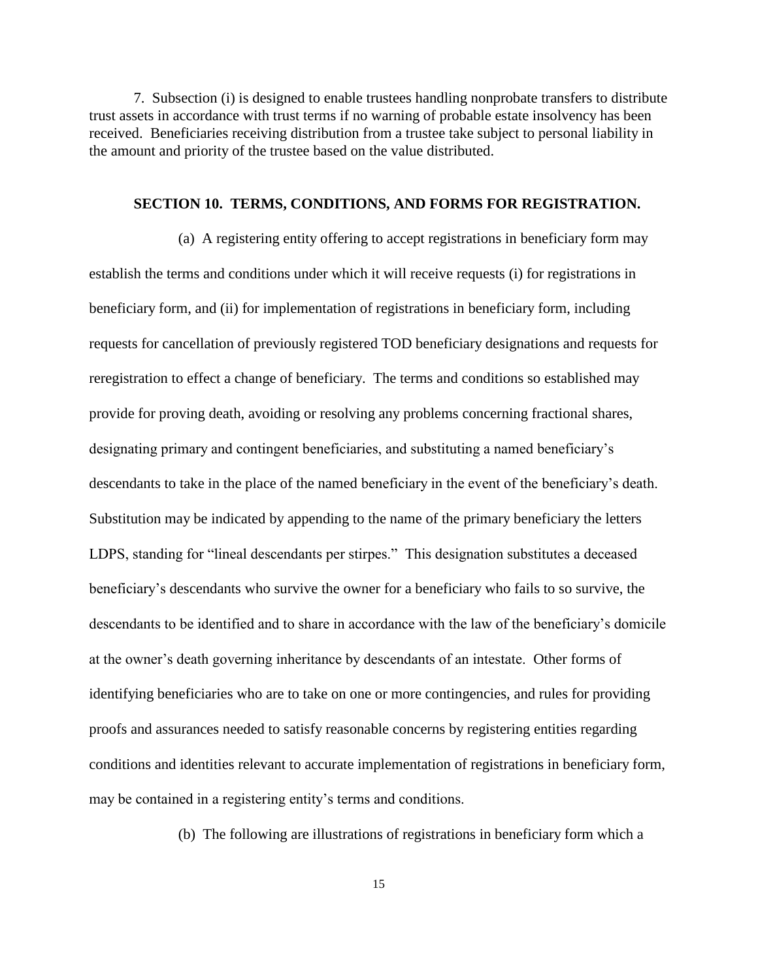7. Subsection (i) is designed to enable trustees handling nonprobate transfers to distribute trust assets in accordance with trust terms if no warning of probable estate insolvency has been received. Beneficiaries receiving distribution from a trustee take subject to personal liability in the amount and priority of the trustee based on the value distributed.

## **SECTION 10. TERMS, CONDITIONS, AND FORMS FOR REGISTRATION.**

(a) A registering entity offering to accept registrations in beneficiary form may establish the terms and conditions under which it will receive requests (i) for registrations in beneficiary form, and (ii) for implementation of registrations in beneficiary form, including requests for cancellation of previously registered TOD beneficiary designations and requests for reregistration to effect a change of beneficiary. The terms and conditions so established may provide for proving death, avoiding or resolving any problems concerning fractional shares, designating primary and contingent beneficiaries, and substituting a named beneficiary's descendants to take in the place of the named beneficiary in the event of the beneficiary's death. Substitution may be indicated by appending to the name of the primary beneficiary the letters LDPS, standing for "lineal descendants per stirpes." This designation substitutes a deceased beneficiary's descendants who survive the owner for a beneficiary who fails to so survive, the descendants to be identified and to share in accordance with the law of the beneficiary's domicile at the owner's death governing inheritance by descendants of an intestate. Other forms of identifying beneficiaries who are to take on one or more contingencies, and rules for providing proofs and assurances needed to satisfy reasonable concerns by registering entities regarding conditions and identities relevant to accurate implementation of registrations in beneficiary form, may be contained in a registering entity's terms and conditions.

(b) The following are illustrations of registrations in beneficiary form which a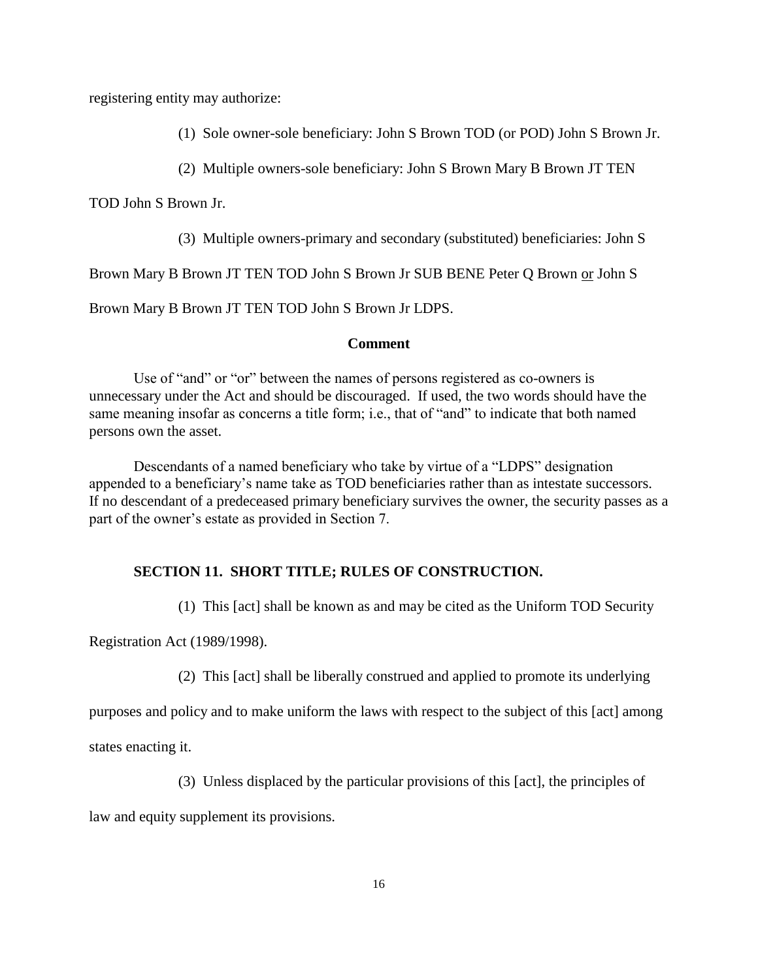registering entity may authorize:

(1) Sole owner-sole beneficiary: John S Brown TOD (or POD) John S Brown Jr.

(2) Multiple owners-sole beneficiary: John S Brown Mary B Brown JT TEN

TOD John S Brown Jr.

(3) Multiple owners-primary and secondary (substituted) beneficiaries: John S

Brown Mary B Brown JT TEN TOD John S Brown Jr SUB BENE Peter Q Brown or John S

Brown Mary B Brown JT TEN TOD John S Brown Jr LDPS.

### **Comment**

Use of "and" or "or" between the names of persons registered as co-owners is unnecessary under the Act and should be discouraged. If used, the two words should have the same meaning insofar as concerns a title form; i.e., that of "and" to indicate that both named persons own the asset.

Descendants of a named beneficiary who take by virtue of a "LDPS" designation appended to a beneficiary's name take as TOD beneficiaries rather than as intestate successors. If no descendant of a predeceased primary beneficiary survives the owner, the security passes as a part of the owner's estate as provided in Section 7.

# **SECTION 11. SHORT TITLE; RULES OF CONSTRUCTION.**

(1) This [act] shall be known as and may be cited as the Uniform TOD Security

Registration Act (1989/1998).

(2) This [act] shall be liberally construed and applied to promote its underlying

purposes and policy and to make uniform the laws with respect to the subject of this [act] among

states enacting it.

(3) Unless displaced by the particular provisions of this [act], the principles of

law and equity supplement its provisions.